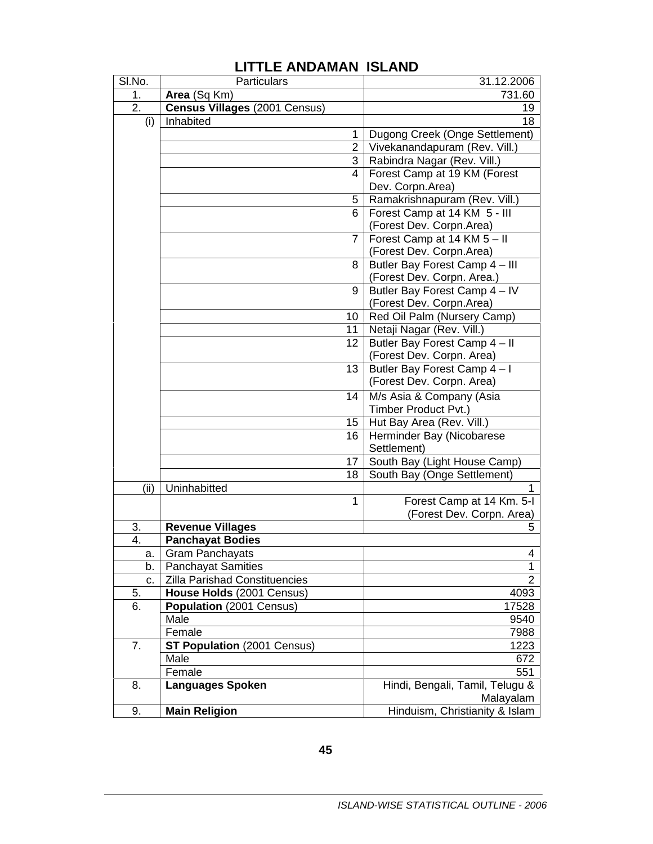| SI.No. | Particulars                   |          | 31.12.2006                                                 |
|--------|-------------------------------|----------|------------------------------------------------------------|
| 1.     | Area (Sq Km)                  |          | 731.60                                                     |
| 2.     | Census Villages (2001 Census) |          | 19                                                         |
| (i)    | Inhabited                     |          | 18                                                         |
|        |                               | 1        | Dugong Creek (Onge Settlement)                             |
|        |                               | 2        | Vivekanandapuram (Rev. Vill.)                              |
|        |                               | 3        | Rabindra Nagar (Rev. Vill.)                                |
|        |                               | 4        | Forest Camp at 19 KM (Forest                               |
|        |                               |          | Dev. Corpn.Area)                                           |
|        |                               | 5        | Ramakrishnapuram (Rev. Vill.)                              |
|        |                               | 6        | Forest Camp at 14 KM 5 - III                               |
|        |                               |          | (Forest Dev. Corpn.Area)                                   |
|        |                               | 7        | Forest Camp at 14 KM 5 - II                                |
|        |                               |          | (Forest Dev. Corpn.Area)                                   |
|        |                               | 8        | Butler Bay Forest Camp 4 - III                             |
|        |                               |          | (Forest Dev. Corpn. Area.)                                 |
|        |                               | 9        | Butler Bay Forest Camp 4 - IV                              |
|        |                               |          | (Forest Dev. Corpn.Area)                                   |
|        |                               | 10       | Red Oil Palm (Nursery Camp)                                |
|        |                               | 11<br>12 | Netaji Nagar (Rev. Vill.)<br>Butler Bay Forest Camp 4 - II |
|        |                               |          | (Forest Dev. Corpn. Area)                                  |
|        |                               | 13       | Butler Bay Forest Camp 4-1                                 |
|        |                               |          | (Forest Dev. Corpn. Area)                                  |
|        |                               | 14       | M/s Asia & Company (Asia                                   |
|        |                               |          | Timber Product Pvt.)                                       |
|        |                               | 15       | Hut Bay Area (Rev. Vill.)                                  |
|        |                               | 16       | Herminder Bay (Nicobarese                                  |
|        |                               |          | Settlement)                                                |
|        |                               | 17       | South Bay (Light House Camp)                               |
|        |                               | 18       | South Bay (Onge Settlement)                                |
| (ii)   | Uninhabitted                  |          | 1                                                          |
|        |                               | 1        | Forest Camp at 14 Km. 5-I                                  |
|        |                               |          | (Forest Dev. Corpn. Area)                                  |
| 3.     | <b>Revenue Villages</b>       |          | 5                                                          |
| 4.     | <b>Panchayat Bodies</b>       |          |                                                            |
| a.     | Gram Panchayats               |          | 4                                                          |
| b.     | <b>Panchayat Samities</b>     |          | 1                                                          |
| c.     | Zilla Parishad Constituencies |          | $\overline{2}$                                             |
| 5.     | House Holds (2001 Census)     |          | 4093                                                       |
| 6.     | Population (2001 Census)      |          | 17528                                                      |
|        | Male                          |          | 9540                                                       |
|        | Female                        |          | 7988                                                       |
| 7.     | ST Population (2001 Census)   |          | 1223                                                       |
|        | Male                          |          | 672                                                        |
|        | Female                        |          | 551                                                        |
| 8.     | <b>Languages Spoken</b>       |          | Hindi, Bengali, Tamil, Telugu &                            |
|        |                               |          | Malayalam                                                  |
| 9.     | <b>Main Religion</b>          |          | Hinduism, Christianity & Islam                             |

## **LITTLE ANDAMAN ISLAND**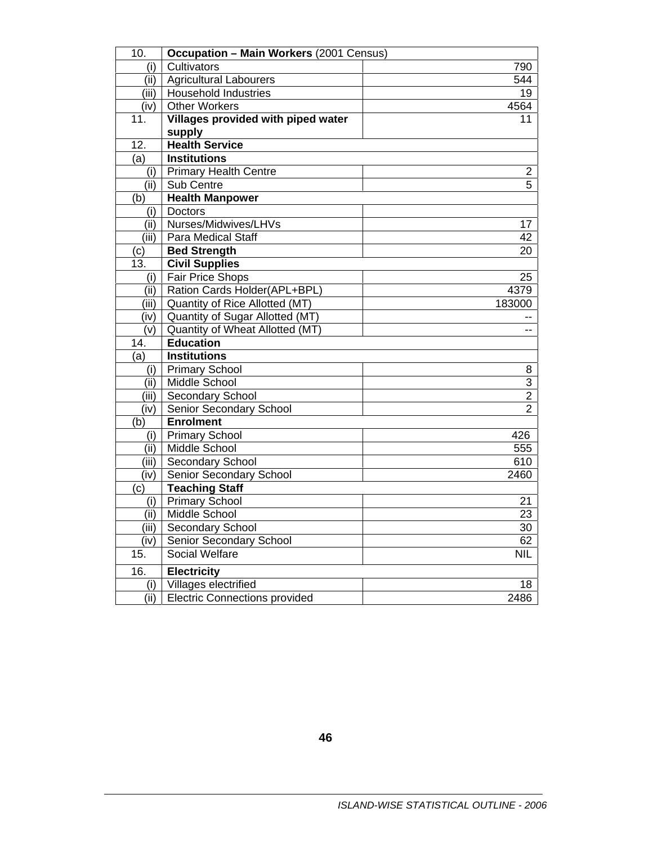| 10.              | <b>Occupation - Main Workers (2001 Census)</b> |                |
|------------------|------------------------------------------------|----------------|
|                  | Cultivators                                    | 790            |
| (i)<br>(ii)      | Agricultural Labourers                         | 544            |
| (iii)            | <b>Household Industries</b>                    | 19             |
|                  | <b>Other Workers</b>                           | 4564           |
| (iv)<br>11.      | Villages provided with piped water             | 11             |
|                  | supply                                         |                |
| 12.              | <b>Health Service</b>                          |                |
| (a)              | <b>Institutions</b>                            |                |
| (i)              | <b>Primary Health Centre</b>                   | $\overline{2}$ |
| (ii)             | Sub Centre                                     | 5              |
| (b)              | <b>Health Manpower</b>                         |                |
| (i)              | <b>Doctors</b>                                 |                |
| (ii)             | Nurses/Midwives/LHVs                           | 17             |
| (iii)            | Para Medical Staff                             | 42             |
| (c)              | <b>Bed Strength</b>                            | 20             |
| 13.              | <b>Civil Supplies</b>                          |                |
| (i)              | <b>Fair Price Shops</b>                        | 25             |
|                  | (ii)   Ration Cards Holder(APL+BPL)            | 4379           |
| (iii)            | Quantity of Rice Allotted (MT)                 | 183000         |
| (iv)             | Quantity of Sugar Allotted (MT)                |                |
| (v)              | Quantity of Wheat Allotted (MT)                | --             |
| 14.              | <b>Education</b>                               |                |
| (a)              | <b>Institutions</b>                            |                |
| (i)              | Primary School                                 | 8              |
| (iii)            | Middle School                                  | $\overline{3}$ |
| (iii)            | Secondary School                               | $\overline{2}$ |
| (iv)             | Senior Secondary School                        | $\overline{2}$ |
| $\overline{(b)}$ | <b>Enrolment</b>                               |                |
| (i)              | <b>Primary School</b>                          | 426            |
| (ii)             | Middle School                                  | 555            |
| (iii)            | Secondary School                               | 610            |
| (iv)             | Senior Secondary School                        | 2460           |
| (c)              | <b>Teaching Staff</b>                          |                |
|                  | (i) Primary School                             | 21             |
|                  | (ii)   Middle School                           | 23             |
| (iii)            | Secondary School                               | 30             |
| (iv)             | Senior Secondary School                        | 62             |
| 15.              | Social Welfare                                 | <b>NIL</b>     |
| 16.              | <b>Electricity</b>                             |                |
| (i)              | Villages electrified                           | 18             |
| (ii)             | <b>Electric Connections provided</b>           | 2486           |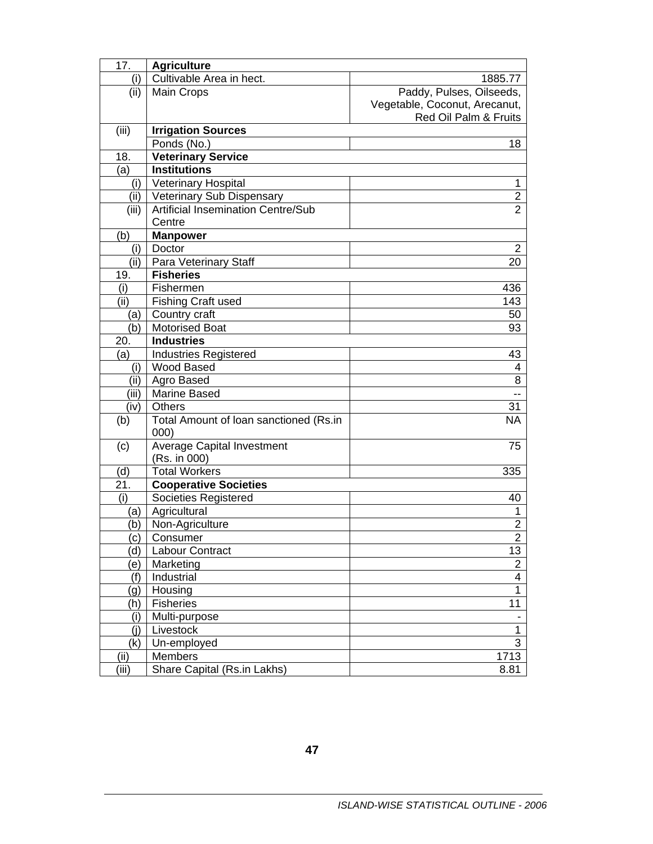| 17.   | <b>Agriculture</b>                        |                               |  |
|-------|-------------------------------------------|-------------------------------|--|
| (i)   | Cultivable Area in hect.                  | 1885.77                       |  |
| (ii)  | <b>Main Crops</b>                         | Paddy, Pulses, Oilseeds,      |  |
|       |                                           | Vegetable, Coconut, Arecanut, |  |
|       |                                           | Red Oil Palm & Fruits         |  |
| (iii) | <b>Irrigation Sources</b>                 |                               |  |
|       | Ponds (No.)                               | 18                            |  |
| 18.   | <b>Veterinary Service</b>                 |                               |  |
| (a)   | <b>Institutions</b>                       |                               |  |
| (i)   | <b>Veterinary Hospital</b>                | 1                             |  |
| (ii)  | Veterinary Sub Dispensary                 | $\boldsymbol{2}$              |  |
| (iii) | <b>Artificial Insemination Centre/Sub</b> | $\overline{2}$                |  |
|       | Centre                                    |                               |  |
| (b)   | <b>Manpower</b>                           |                               |  |
| (i)   | Doctor                                    | 2                             |  |
| (ii)  | Para Veterinary Staff                     | 20                            |  |
| 19.   | <b>Fisheries</b>                          |                               |  |
| (i)   | Fishermen                                 | 436                           |  |
| (ii)  | <b>Fishing Craft used</b>                 | 143                           |  |
| (a)   | Country craft                             | 50                            |  |
| (b)   | <b>Motorised Boat</b>                     | 93                            |  |
| 20.   | <b>Industries</b>                         |                               |  |
| (a)   | <b>Industries Registered</b>              | 43                            |  |
| (i)   | <b>Wood Based</b>                         | 4                             |  |
| (i)   | Agro Based                                | 8                             |  |
| (iii) | <b>Marine Based</b>                       | $\overline{a}$                |  |
| (iv)  | Others                                    | 31                            |  |
| (b)   | Total Amount of Ioan sanctioned (Rs.in    | <b>NA</b>                     |  |
|       | 000)                                      |                               |  |
| (c)   | <b>Average Capital Investment</b>         | 75                            |  |
|       | (Rs. in 000)                              |                               |  |
| (d)   | <b>Total Workers</b>                      | 335                           |  |
| 21.   | <b>Cooperative Societies</b>              |                               |  |
| (i)   | Societies Registered                      | 40                            |  |
| (a)   | Agricultural                              | 1                             |  |
| (b)   | Non-Agriculture                           | $\overline{2}$                |  |
| (C)   | Consumer                                  | $\overline{a}$                |  |
| d)    | Labour Contract                           | 13                            |  |
| e)    | Marketing                                 | $\overline{2}$                |  |
| (f)   | Industrial                                | $\overline{\mathbf{4}}$       |  |
| g)    | Housing                                   | $\mathbf 1$                   |  |
| (h)   | <b>Fisheries</b>                          | 11                            |  |
| (i)   | Multi-purpose                             |                               |  |
| (i)   | Livestock                                 | 1                             |  |
| (k)   | Un-employed                               | $\overline{3}$                |  |
| (iii) | Members                                   | 1713                          |  |
| (iii) | Share Capital (Rs.in Lakhs)               | 8.81                          |  |